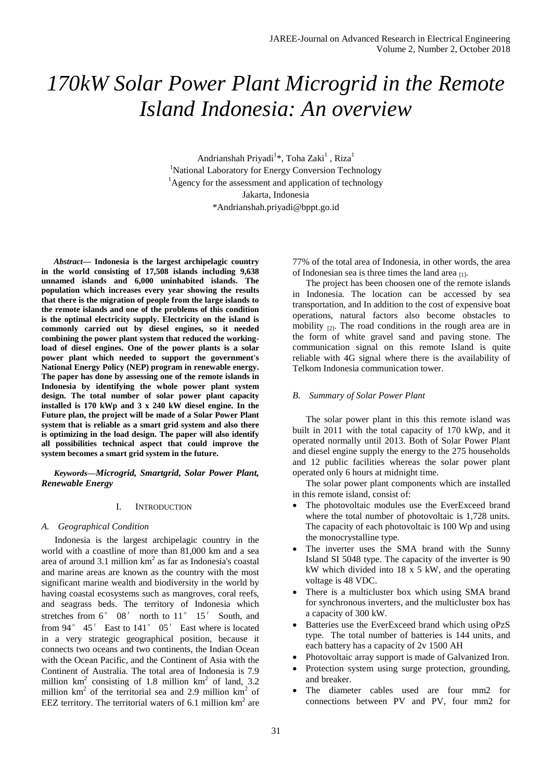# *170kW Solar Power Plant Microgrid in the Remote Island Indonesia: An overview*

Andrianshah Priyadi<sup>1</sup>\*, Toha Zaki<sup>1</sup>, Riza<sup>1</sup> <sup>1</sup>National Laboratory for Energy Conversion Technology  ${}^{1}$ Agency for the assessment and application of technology Jakarta, Indonesia \*Andrianshah.priyadi@bppt.go.id

*Abstract***— Indonesia is the largest archipelagic country in the world consisting of 17,508 islands including 9,638 unnamed islands and 6,000 uninhabited islands. The population which increases every year showing the results that there is the migration of people from the large islands to the remote islands and one of the problems of this condition is the optimal electricity supply. Electricity on the island is commonly carried out by diesel engines, so it needed combining the power plant system that reduced the workingload of diesel engines. One of the power plants is a solar power plant which needed to support the government's National Energy Policy (NEP) program in renewable energy. The paper has done by assessing one of the remote islands in Indonesia by identifying the whole power plant system design. The total number of solar power plant capacity installed is 170 kWp and 3 x 240 kW diesel engine. In the Future plan, the project will be made of a Solar Power Plant system that is reliable as a smart grid system and also there is optimizing in the load design. The paper will also identify all possibilities technical aspect that could improve the system becomes a smart grid system in the future.**

*Keywords—Microgrid, Smartgrid, Solar Power Plant, Renewable Energy*

## I. INTRODUCTION

#### *A. Geographical Condition*

Indonesia is the largest archipelagic country in the world with a coastline of more than 81,000 km and a sea area of around 3.1 million  $km^2$  as far as Indonesia's coastal and marine areas are known as the country with the most significant marine wealth and biodiversity in the world by having coastal ecosystems such as mangroves, coral reefs, and seagrass beds. The territory of Indonesia which stretches from 6° 08' north to 11° 15' South, and from 94° 45′ East to 141° 05′ East where is located in a very strategic geographical position, because it connects two oceans and two continents, the Indian Ocean with the Ocean Pacific, and the Continent of Asia with the Continent of Australia. The total area of Indonesia is 7.9 million  $km^2$  consisting of 1.8 million  $km^2$  of land, 3.2 million  $km^2$  of the territorial sea and 2.9 million  $km^2$  of EEZ territory. The territorial waters of 6.1 million  $km<sup>2</sup>$  are 77% of the total area of Indonesia, in other words, the area of Indonesian sea is three times the land area  $_{[1]}$ .

The project has been choosen one of the remote islands in Indonesia. The location can be accessed by sea transportation, and In addition to the cost of expensive boat operations, natural factors also become obstacles to mobility  $_{[2]}$ . The road conditions in the rough area are in the form of white gravel sand and paving stone. The communication signal on this remote Island is quite reliable with 4G signal where there is the availability of Telkom Indonesia communication tower.

### *B. Summary of Solar Power Plant*

The solar power plant in this this remote island was built in 2011 with the total capacity of 170 kWp, and it operated normally until 2013. Both of Solar Power Plant and diesel engine supply the energy to the 275 households and 12 public facilities whereas the solar power plant operated only 6 hours at midnight time.

The solar power plant components which are installed in this remote island, consist of:

- The photovoltaic modules use the EverExceed brand where the total number of photovoltaic is 1,728 units. The capacity of each photovoltaic is 100 Wp and using the monocrystalline type.
- The inverter uses the SMA brand with the Sunny Island SI 5048 type. The capacity of the inverter is 90 kW which divided into 18 x 5 kW, and the operating voltage is 48 VDC.
- There is a multicluster box which using SMA brand for synchronous inverters, and the multicluster box has a capacity of 300 kW.
- Batteries use the EverExceed brand which using oPzS type. The total number of batteries is 144 units, and each battery has a capacity of 2v 1500 AH
- Photovoltaic array support is made of Galvanized Iron.
- Protection system using surge protection, grounding, and breaker.
- The diameter cables used are four mm2 for connections between PV and PV, four mm2 for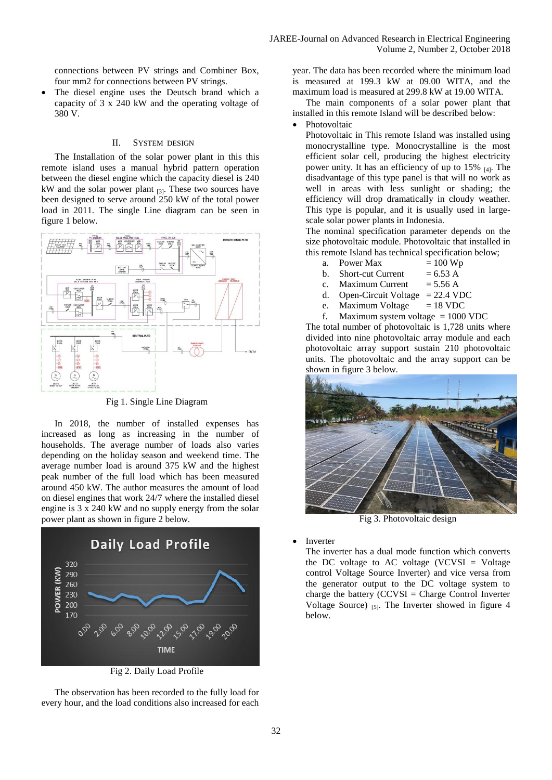connections between PV strings and Combiner Box, four mm2 for connections between PV strings.

 The diesel engine uses the Deutsch brand which a capacity of 3 x 240 kW and the operating voltage of 380 V.

## II. SYSTEM DESIGN

The Installation of the solar power plant in this this remote island uses a manual hybrid pattern operation between the diesel engine which the capacity diesel is 240 kW and the solar power plant  $_{[3]}$ . These two sources have been designed to serve around 250 kW of the total power load in 2011. The single Line diagram can be seen in figure 1 below.



Fig 1. Single Line Diagram

In 2018, the number of installed expenses has increased as long as increasing in the number of households. The average number of loads also varies depending on the holiday season and weekend time. The average number load is around 375 kW and the highest peak number of the full load which has been measured around 450 kW. The author measures the amount of load on diesel engines that work 24/7 where the installed diesel engine is 3 x 240 kW and no supply energy from the solar power plant as shown in figure 2 below.



Fig 2. Daily Load Profile

The observation has been recorded to the fully load for every hour, and the load conditions also increased for each

year. The data has been recorded where the minimum load is measured at 199.3 kW at 09.00 WITA, and the maximum load is measured at 299.8 kW at 19.00 WITA.

The main components of a solar power plant that installed in this remote Island will be described below:

## Photovoltaic

Photovoltaic in This remote Island was installed using monocrystalline type. Monocrystalline is the most efficient solar cell, producing the highest electricity power unity. It has an efficiency of up to  $15\%$  [4]. The disadvantage of this type panel is that will no work as well in areas with less sunlight or shading; the efficiency will drop dramatically in cloudy weather. This type is popular, and it is usually used in largescale solar power plants in Indonesia.

The nominal specification parameter depends on the size photovoltaic module. Photovoltaic that installed in this remote Island has technical specification below;

- a. Power Max  $= 100 \text{ Wp}$
- b. Short-cut Current  $= 6.53$  A
- c. Maximum Current  $= 5.56$  A
- d. Open-Circuit Voltage = 22.4 VDC
- e. Maximum Voltage  $= 18$  VDC

f. Maximum system voltage  $= 1000$  VDC The total number of photovoltaic is 1,728 units where

divided into nine photovoltaic array module and each photovoltaic array support sustain 210 photovoltaic units. The photovoltaic and the array support can be shown in figure 3 below.



Fig 3. Photovoltaic design

Inverter

The inverter has a dual mode function which converts the DC voltage to AC voltage (VCVSI = Voltage control Voltage Source Inverter) and vice versa from the generator output to the DC voltage system to charge the battery (CCVSI = Charge Control Inverter Voltage Source)  $_{[5]}$ . The Inverter showed in figure 4 below.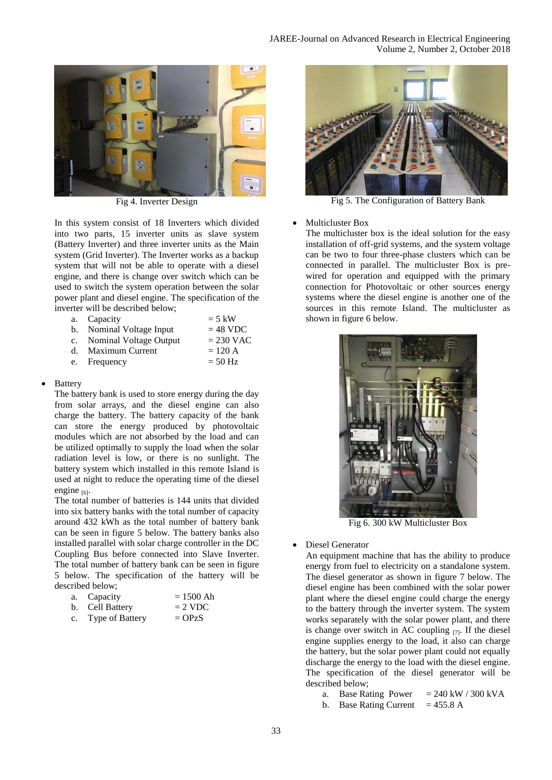

Fig 4. Inverter Design

In this system consist of 18 Inverters which divided into two parts, 15 inverter units as slave system (Battery Inverter) and three inverter units as the Main system (Grid Inverter). The Inverter works as a backup system that will not be able to operate with a diesel engine, and there is change over switch which can be used to switch the system operation between the solar power plant and diesel engine. The specification of the inverter will be described below;

| a. Capacity               | $=$ 5 kW    |
|---------------------------|-------------|
| b. Nominal Voltage Input  | $= 48$ VDC  |
| c. Nominal Voltage Output | $= 230$ VAC |
| d. Maximum Current        | $= 120 A$   |
| e. Frequency              | $= 50$ Hz   |

# Battery

The battery bank is used to store energy during the day from solar arrays, and the diesel engine can also charge the battery. The battery capacity of the bank can store the energy produced by photovoltaic modules which are not absorbed by the load and can be utilized optimally to supply the load when the solar radiation level is low, or there is no sunlight. The battery system which installed in this remote Island is used at night to reduce the operating time of the diesel engine  $_{[6]}$ .

The total number of batteries is 144 units that divided into six battery banks with the total number of capacity around 432 kWh as the total number of battery bank can be seen in figure 5 below. The battery banks also installed parallel with solar charge controller in the DC Coupling Bus before connected into Slave Inverter. The total number of battery bank can be seen in figure 5 below. The specification of the battery will be described below;

| a. Capacity        | $= 1500$ Ah |
|--------------------|-------------|
| b. Cell Battery    | $= 2$ VDC   |
| c. Type of Battery | $=$ OPzS    |



Fig 5. The Configuration of Battery Bank

# • Multicluster Box

The multicluster box is the ideal solution for the easy installation of off-grid systems, and the system voltage can be two to four three-phase clusters which can be connected in parallel. The multicluster Box is prewired for operation and equipped with the primary connection for Photovoltaic or other sources energy systems where the diesel engine is another one of the sources in this remote Island. The multicluster as shown in figure 6 below.



Fig 6. 300 kW Multicluster Box

Diesel Generator

An equipment machine that has the ability to produce energy from fuel to electricity on a standalone system. The diesel generator as shown in figure 7 below. The diesel engine has been combined with the solar power plant where the diesel engine could charge the energy to the battery through the inverter system. The system works separately with the solar power plant, and there is change over switch in AC coupling  $_{[7]}$ . If the diesel engine supplies energy to the load, it also can charge the battery, but the solar power plant could not equally discharge the energy to the load with the diesel engine. The specification of the diesel generator will be described below;

- a. Base Rating Power  $= 240 \text{ kW} / 300 \text{ kVA}$
- b. Base Rating Current  $= 455.8$  A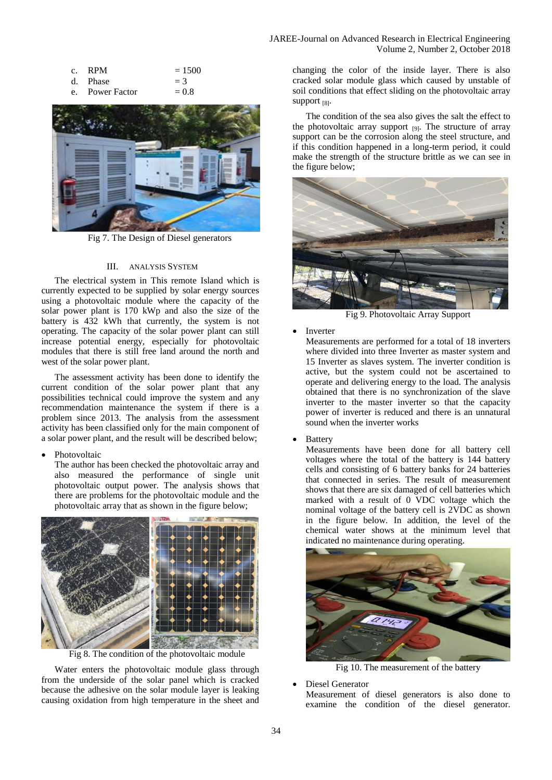## JAREE-Journal on Advanced Research in Electrical Engineering Volume 2, Number 2, October 2018

| c. RPM   | $= 1500$ |
|----------|----------|
| d. Phase | $=$ 3    |

e. Power Factor  $= 0.8$ 



Fig 7. The Design of Diesel generators

#### III. ANALYSIS SYSTEM

The electrical system in This remote Island which is currently expected to be supplied by solar energy sources using a photovoltaic module where the capacity of the solar power plant is 170 kWp and also the size of the battery is 432 kWh that currently, the system is not operating. The capacity of the solar power plant can still increase potential energy, especially for photovoltaic modules that there is still free land around the north and west of the solar power plant.

The assessment activity has been done to identify the current condition of the solar power plant that any possibilities technical could improve the system and any recommendation maintenance the system if there is a problem since 2013. The analysis from the assessment activity has been classified only for the main component of a solar power plant, and the result will be described below;

Photovoltaic

The author has been checked the photovoltaic array and also measured the performance of single unit photovoltaic output power. The analysis shows that there are problems for the photovoltaic module and the photovoltaic array that as shown in the figure below;



Fig 8. The condition of the photovoltaic module

Water enters the photovoltaic module glass through from the underside of the solar panel which is cracked because the adhesive on the solar module layer is leaking causing oxidation from high temperature in the sheet and

changing the color of the inside layer. There is also cracked solar module glass which caused by unstable of soil conditions that effect sliding on the photovoltaic array Support [8].

The condition of the sea also gives the salt the effect to the photovoltaic array support  $_{[9]}$ . The structure of array support can be the corrosion along the steel structure, and if this condition happened in a long-term period, it could make the strength of the structure brittle as we can see in the figure below;



Fig 9. Photovoltaic Array Support

#### Inverter

Measurements are performed for a total of 18 inverters where divided into three Inverter as master system and 15 Inverter as slaves system. The inverter condition is active, but the system could not be ascertained to operate and delivering energy to the load. The analysis obtained that there is no synchronization of the slave inverter to the master inverter so that the capacity power of inverter is reduced and there is an unnatural sound when the inverter works

Battery

Measurements have been done for all battery cell voltages where the total of the battery is 144 battery cells and consisting of 6 battery banks for 24 batteries that connected in series. The result of measurement shows that there are six damaged of cell batteries which marked with a result of 0 VDC voltage which the nominal voltage of the battery cell is 2VDC as shown in the figure below. In addition, the level of the chemical water shows at the minimum level that indicated no maintenance during operating.



Fig 10. The measurement of the battery

Diesel Generator

Measurement of diesel generators is also done to examine the condition of the diesel generator.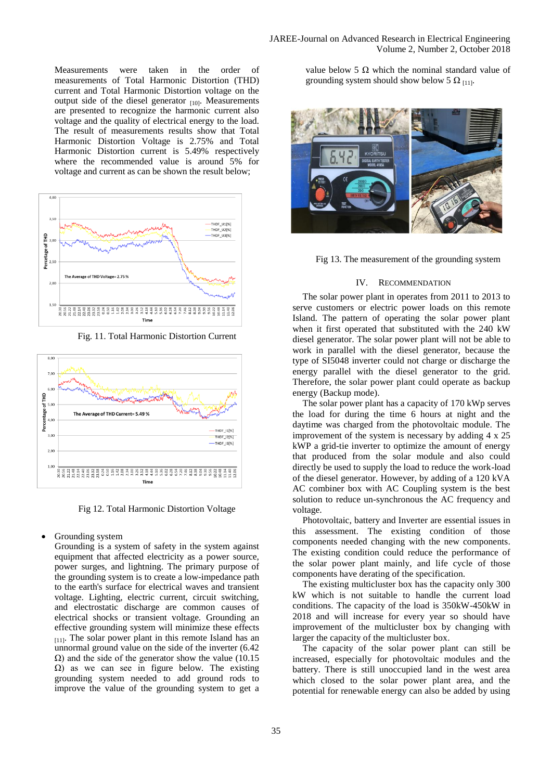Measurements were taken in the order of measurements of Total Harmonic Distortion (THD) current and Total Harmonic Distortion voltage on the output side of the diesel generator  $_{[10]}$ . Measurements are presented to recognize the harmonic current also voltage and the quality of electrical energy to the load. The result of measurements results show that Total Harmonic Distortion Voltage is 2.75% and Total Harmonic Distortion current is 5.49% respectively where the recommended value is around 5% for voltage and current as can be shown the result below;



Fig. 11. Total Harmonic Distortion Current



Fig 12. Total Harmonic Distortion Voltage

## • Grounding system

Grounding is a system of safety in the system against equipment that affected electricity as a power source, power surges, and lightning. The primary purpose of the grounding system is to create a low-impedance path to the earth's surface for electrical waves and transient voltage. Lighting, electric current, circuit switching, and electrostatic discharge are common causes of electrical shocks or transient voltage. Grounding an effective grounding system will minimize these effects  $_{[11]}$ . The solar power plant in this remote Island has an unnormal ground value on the side of the inverter (6.42  $\Omega$ ) and the side of the generator show the value (10.15  $Ω$ ) as we can see in figure below. The existing grounding system needed to add ground rods to improve the value of the grounding system to get a

value below 5 Ω which the nominal standard value of grounding system should show below 5  $\Omega$  [11].



Fig 13. The measurement of the grounding system

# IV. RECOMMENDATION

The solar power plant in operates from 2011 to 2013 to serve customers or electric power loads on this remote Island. The pattern of operating the solar power plant when it first operated that substituted with the 240 kW diesel generator. The solar power plant will not be able to work in parallel with the diesel generator, because the type of SI5048 inverter could not charge or discharge the energy parallel with the diesel generator to the grid. Therefore, the solar power plant could operate as backup energy (Backup mode).

The solar power plant has a capacity of 170 kWp serves the load for during the time 6 hours at night and the daytime was charged from the photovoltaic module. The improvement of the system is necessary by adding 4 x 25 kWP a grid-tie inverter to optimize the amount of energy that produced from the solar module and also could directly be used to supply the load to reduce the work-load of the diesel generator. However, by adding of a 120 kVA AC combiner box with AC Coupling system is the best solution to reduce un-synchronous the AC frequency and voltage.

Photovoltaic, battery and Inverter are essential issues in this assessment. The existing condition of those components needed changing with the new components. The existing condition could reduce the performance of the solar power plant mainly, and life cycle of those components have derating of the specification.

The existing multicluster box has the capacity only 300 kW which is not suitable to handle the current load conditions. The capacity of the load is 350kW-450kW in 2018 and will increase for every year so should have improvement of the multicluster box by changing with larger the capacity of the multicluster box.

The capacity of the solar power plant can still be increased, especially for photovoltaic modules and the battery. There is still unoccupied land in the west area which closed to the solar power plant area, and the potential for renewable energy can also be added by using